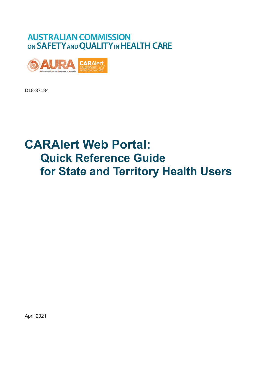## **AUSTRALIAN COMMISSION** ON SAFETY AND QUALITY IN HEALTH CARE



D18-37184

# **CARAlert Web Portal: Quick Reference Guide for State and Territory Health Users**

April 2021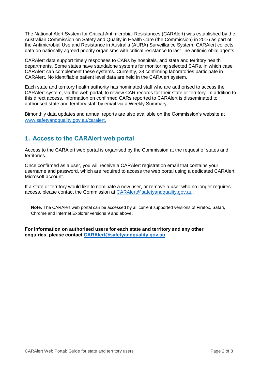The National Alert System for Critical Antimicrobial Resistances (CARAlert) was established by the Australian Commission on Safety and Quality in Health Care (the Commission) in 2016 as part of the Antimicrobial Use and Resistance in Australia (AURA) Surveillance System. CARAlert collects data on nationally agreed priority organisms with critical resistance to last-line antimicrobial agents.

CARAlert data support timely responses to CARs by hospitals, and state and territory health departments. Some states have standalone systems for monitoring selected CARs, in which case CARAlert can complement these systems. Currently, 28 confirming laboratories participate in CARAlert. No identifiable patient level data are held in the CARAlert system.

Each state and territory health authority has nominated staff who are authorised to access the CARAlert system, via the web portal, to review CAR records for their state or territory. In addition to this direct access, information on confirmed CARs reported to CARAlert is disseminated to authorised state and territory staff by email via a Weekly Summary.

Bimonthly data updates and annual reports are also available on the Commission's website at [www.safetyandquality.gov.au/caralert.](http://www.safetyandquality.gov.au/caralert)

## **1. Access to the CARAlert web portal**

Access to the CARAlert web portal is organised by the Commission at the request of states and territories.

Once confirmed as a user, you will receive a CARAlert registration email that contains your username and password, which are required to access the web portal using a dedicated CARAlert Microsoft account.

If a state or territory w[ould like to nominate a new](mailto:support@improve.org.au) user, or remove a user who no longer requires access, please contact the Commission at CARAlert@safetyandquality.gov.au.

**Note:** The CARAlert web portal can be accessed by all current supported versions of Firefox, Safari, Chrome and Internet Explorer versions 9 and above.

**For information on authorised users for each state and territory and any other enquiries, please [contact CARAlert@](mailto:CARAlert@safetyandquality.gov.au)safetyandquality.gov.au**.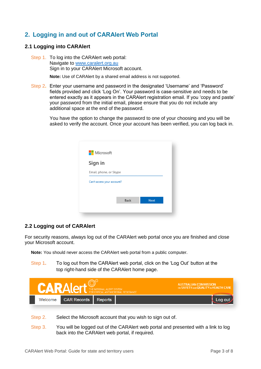## **2. Logging in and out of CARAlert Web Portal**

#### **2.1 Logging into CARAlert**

Step 1. To log into the CARAlert web portal: Navigate to [www.caralert.org.au](http://www.caralert.org.au/) Sign in to your CARAlert Microsoft account.

**Note:** Use of CARAlert by a shared email address is not supported.

Step 2**.** Enter your username and password in the designated 'Username' and 'Password' fields provided and click 'Log On'. Your password is case-sensitive and needs to be entered exactly as it appears in the CARAlert registration email. If you 'copy and paste' your password from the initial email, please ensure that you do not include any additional space at the end of the password.

You have the option to change the password to one of your choosing and you will be asked to verify the account. Once your account has been verified, you can log back in.

| <b>Nicrosoft</b>           |      |             |
|----------------------------|------|-------------|
| Sign in                    |      |             |
| Email, phone, or Skype     |      |             |
| Can't access your account? |      |             |
|                            |      |             |
|                            | Back | <b>Next</b> |
|                            |      |             |

#### **2.2 Logging out of CARAlert**

For security reasons, always log out of the CARAlert web portal once you are finished and close your Microsoft account.

**Note:** You should never access the CARAlert web portal from a public computer.

Step 1**.** To log out from the CARAlert web portal, click on the 'Log Out' button at the top right-hand side of the CARAlert home page.

|         | THE NATIONAL ALERT SYSTEM<br>FOR CRITICAL ANTIMICROBIAL RESISTANCE | <b>AUSTRALIAN COMMISSION</b><br>ON SAFETY AND QUALITY IN HEALTH CARE |  |
|---------|--------------------------------------------------------------------|----------------------------------------------------------------------|--|
| Welcome | <b>CAR Records</b>                                                 | <b>Reports</b>                                                       |  |

- Step 2. Select the Microsoft account that you wish to sign out of.
- Step 3. You will be logged out of the CARAlert web portal and presented with a link to log back into the CARAlert web portal, if required.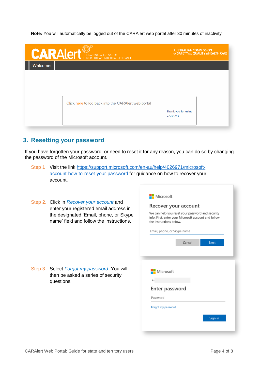**Note:** You will automatically be logged out of the CARAlert web portal after 30 minutes of inactivity.

| Thank you for using<br><b>CARAlert</b> |
|----------------------------------------|
|                                        |

### **3. Resetting your password**

questions.

If you have forgotten your password, or need to reset it for any reason, you can do so by changing the password of the Microsoft account.

- Step 1 Visit the link [https://support.microsoft.com/en-au/help/4026971/microsoft](https://support.microsoft.com/en-au/help/4026971/microsoft-account-how-to-reset-your-password)[account-how-to-reset-your-password](https://support.microsoft.com/en-au/help/4026971/microsoft-account-how-to-reset-your-password) for guidance on how to recover your account.
- Step 2. Click in *Recover your account* and enter your registered email address in the designated 'Email, phone, or Skype name' field and follow the instructions.

Microsoft Recover your account We can help you reset your password and security info. First, enter your Microsoft account and follow the instructions below. Email, phone, or Skype name Cancel **Next** Step 3. Select *Forgot my password*. You will Microsoft then be asked a series of security Enter password Password Forgot my password Sign in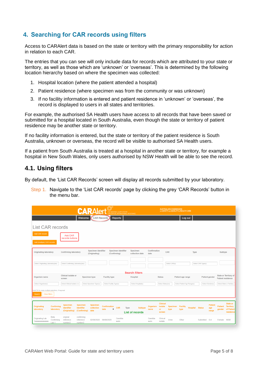## **4. Searching for CAR records using filters**

Access to CARAlert data is based on the state or territory with the primary responsibility for action in relation to each CAR.

The entries that you can see will only include data for records which are attributed to your state or territory, as well as those which are 'unknown' or 'overseas'. This is determined by the following location hierarchy based on where the specimen was collected:

- 1. Hospital location (where the patient attended a hospital)
- 2. Patient residence (where specimen was from the community or was unknown)
- 3. If no facility information is entered and patient residence in 'unknown' or 'overseas', the record is displayed to users in all states and territories.

For example, the authorised SA Health users have access to all records that have been saved or submitted for a hospital located in South Australia, even though the state or territory of patient residence may be another state or territory.

If no facility information is entered, but the state or territory of the patient residence is South Australia, unknown or overseas, the record will be visible to authorised SA Health users.

If a patient from South Australia is treated at a hospital in another state or territory, for example a hospital in New South Wales, only users authorised by NSW Health will be able to see the record.

#### **4.1. Using filters**

By default, the 'List CAR Records' screen will display all records submitted by your laboratory.

Step 1. Navigate to the 'List CAR records' page by clicking the grey 'CAR Records' button in the menu bar.

| <b>CARALET THE NATIONAL ALERT SYSTEM</b>                                             |                                        |                                                       |                                                      |                                       |                                  |                                     | <b>AUSTRALIAN COMMISSION</b><br>ON SAFETY AND QUALITY IN HEALTH CARE |                                          |                         |                                            |                         |                             |                        |                    |                                |                          |                                                         |
|--------------------------------------------------------------------------------------|----------------------------------------|-------------------------------------------------------|------------------------------------------------------|---------------------------------------|----------------------------------|-------------------------------------|----------------------------------------------------------------------|------------------------------------------|-------------------------|--------------------------------------------|-------------------------|-----------------------------|------------------------|--------------------|--------------------------------|--------------------------|---------------------------------------------------------|
|                                                                                      |                                        |                                                       | Welcome                                              | <b>CAR Records</b>                    |                                  | <b>Reports</b>                      |                                                                      |                                          |                         |                                            |                         | Log out                     |                        |                    |                                |                          |                                                         |
| List CAR records                                                                     |                                        |                                                       |                                                      |                                       |                                  |                                     |                                                                      |                                          |                         |                                            |                         |                             |                        |                    |                                |                          |                                                         |
| Add CAR record<br>Add (multiple) CAR records                                         |                                        | Add CAR<br>records buttons                            |                                                      |                                       |                                  |                                     |                                                                      |                                          |                         |                                            |                         |                             |                        |                    |                                |                          |                                                         |
| <b>Originating laboratory</b>                                                        |                                        | <b>Confirming laboratory</b>                          |                                                      | Specimen identifier<br>(Originating)  |                                  | Specimen identifier<br>(Confirming) |                                                                      | Specimen<br>collection date              | Confirmation<br>date    |                                            | CAR                     |                             | Type                   |                    |                                | Subtype                  |                                                         |
| Select Originating Laboratory(ies)                                                   |                                        | Select Confirming Laboratory(ies)                     |                                                      |                                       |                                  |                                     |                                                                      |                                          |                         |                                            | Select CAR(s)           |                             |                        | Select CAR Type(s) |                                |                          |                                                         |
| Organism name                                                                        |                                        | <b>Clinical isolate or</b>                            | <b>Specimen type</b>                                 |                                       | <b>Facility type</b>             |                                     |                                                                      | <b>Search filters</b><br>Hospital        |                         | <b>Status</b>                              |                         | Patient age range           |                        |                    | Patient gender                 |                          | <b>State or Territory of</b>                            |
| Select Organism(s)                                                                   |                                        | screen<br>Select Clinical isolate or s                |                                                      | Select Specimen Type(s)               | <b>Select Facility Type(s)</b>   |                                     |                                                                      | Select Hospital(s)                       |                         | Select Status(es)                          |                         | Select Patient Age Range(s) |                        |                    | Select Gender(s)               | <b>Patient residence</b> | <b>Select State or Territory</b>                        |
| Hold Ctrl to make multiple selections, if required<br>Search<br><b>Clear filters</b> |                                        |                                                       |                                                      |                                       |                                  |                                     |                                                                      |                                          |                         |                                            |                         |                             |                        |                    |                                |                          |                                                         |
| Originating<br>laboratory                                                            | <b>Confirming</b><br>laboratory        | <b>Specimen</b><br><b>identifier</b><br>(Originating) | <b>Specimen</b><br><b>identifier</b><br>(Confirming) | <b>Specimen</b><br>collection<br>date | <b>Confirmation</b><br>date<br>٠ | CAR                                 | Type                                                                 | <b>Subtype</b><br><b>List of records</b> | Organism<br>name        | <b>Clinical</b><br>isolate<br>or<br>screen | <b>Specimen</b><br>type | <b>Facility</b><br>type     | <b>Hospital Status</b> |                    | <b>Patient</b><br>age<br>range | <b>Patient</b><br>gender | State or<br><b>Territory</b><br>of Patient<br>residence |
| <b>Originating Lab</b><br>1aaaaaaaaaaaaa                                             | Beta<br>Confirming<br>Lab <sub>1</sub> | original<br>reference<br>number <sub>2</sub>          | confirming<br>reference<br>number <sub>2</sub>       | 02/08/2020                            | 09/08/2020                       | Candida<br>auris                    |                                                                      |                                          | Candida<br><b>auris</b> | Clinical<br>isolate                        | Urine                   | Other                       |                        | Submitted          | $0 - 4$                        | Female                   | <b>NSW</b>                                              |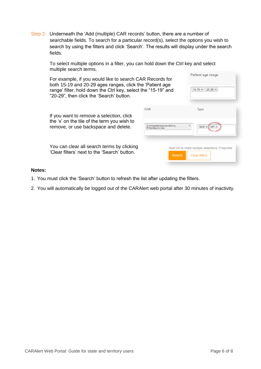Step 2. Underneath the 'Add (multiple) CAR records' button, there are a number of searchable fields. To search for a particular record(s), select the options you wish to search by using the filters and click 'Search'. The results will display under the search fields.

To select multiple options in a filter, you can hold down the Ctrl key and select multiple search terms. **Dation** and appeal the complete

| For example, if you would like to search CAR Records for<br>both 15-19 and 20-29 ages ranges, click the 'Patient age<br>range' filter, hold down the Ctrl key, select the "15-19" and<br>"20-29", then click the 'Search' button. |                                                                | Patient age range<br>$15-19 \times$<br>$20-29 \times$                      |
|-----------------------------------------------------------------------------------------------------------------------------------------------------------------------------------------------------------------------------------|----------------------------------------------------------------|----------------------------------------------------------------------------|
| If you want to remove a selection, click<br>the 'x' on the tile of the term you wish to<br>remove, or use backspace and delete.                                                                                                   | <b>CAR</b><br>Carbapenemase-producing<br>×<br>Enterobacterales | <b>Type</b><br>$IMP \times$<br>$NDM \times$                                |
| You can clear all search terms by clicking<br>'Clear filters' next to the 'Search' button.                                                                                                                                        | Search                                                         | Hold Ctrl to make multiple selections, if required<br><b>Clear filters</b> |

#### **Notes:**

- 1. You must click the 'Search' button to refresh the list after updating the filters.
- 2. You will automatically be logged out of the CARAlert web portal after 30 minutes of inactivity.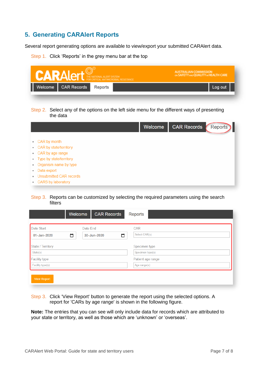## **5. Generating CARAlert Reports**

Several report generating options are available to view/export your submitted CARAlert data.

Step 1. Click 'Reports' in the grey menu bar at the top

| <b>CARALert MARALERI SYSTEM</b><br><b>AL RESISTANCE</b>                                                  | <b>AUSTRALIAN COMMISSION</b><br>ON SAFETY AND QUALITY IN HEALTH CARE |                    |                |  |  |  |
|----------------------------------------------------------------------------------------------------------|----------------------------------------------------------------------|--------------------|----------------|--|--|--|
| Welcome<br><b>CAR Records</b><br>Reports                                                                 |                                                                      |                    | Log out        |  |  |  |
|                                                                                                          |                                                                      |                    |                |  |  |  |
| Step 2. Select any of the options on the left side menu for the different ways of presenting<br>the data |                                                                      |                    |                |  |  |  |
|                                                                                                          | Welcome                                                              | <b>CAR Records</b> | <b>Reports</b> |  |  |  |
| CAR by month<br>۰                                                                                        |                                                                      |                    |                |  |  |  |
| CAR by state/territory<br>۰                                                                              |                                                                      |                    |                |  |  |  |
| CAR by age range<br>۰                                                                                    |                                                                      |                    |                |  |  |  |
| Type by state/territory<br>۰                                                                             |                                                                      |                    |                |  |  |  |
| Organism name by type<br>۰                                                                               |                                                                      |                    |                |  |  |  |
| Data export<br>۰                                                                                         |                                                                      |                    |                |  |  |  |
| Unsubmitted CAR records                                                                                  |                                                                      |                    |                |  |  |  |
|                                                                                                          |                                                                      |                    |                |  |  |  |

#### Step 3. Reports can be customized by selecting the required parameters using the search filters

|                          | Welcome  | <b>CAR Records</b> | Reports           |
|--------------------------|----------|--------------------|-------------------|
|                          |          |                    |                   |
| Date Start               | Date End |                    | CAR               |
| 01-Jan-2020              | ▭        | ▭<br>30-Jun-2020   | Select CAR(s)     |
|                          |          |                    |                   |
| <b>State / Territory</b> |          |                    | Specimen type     |
| State(s)                 |          |                    | Specimen type(s)  |
| <b>Facility type</b>     |          |                    | Patient age range |
| Facility type(s)         |          |                    | Age range(s)      |
|                          |          |                    |                   |
| <b>View Report</b>       |          |                    |                   |

Step 3. Click 'View Report' button to generate the report using the selected options. A report for 'CARs by age range' is shown in the following figure.

**Note:** The entries that you can see will only include data for records which are attributed to your state or territory, as well as those which are 'unknown' or 'overseas'.